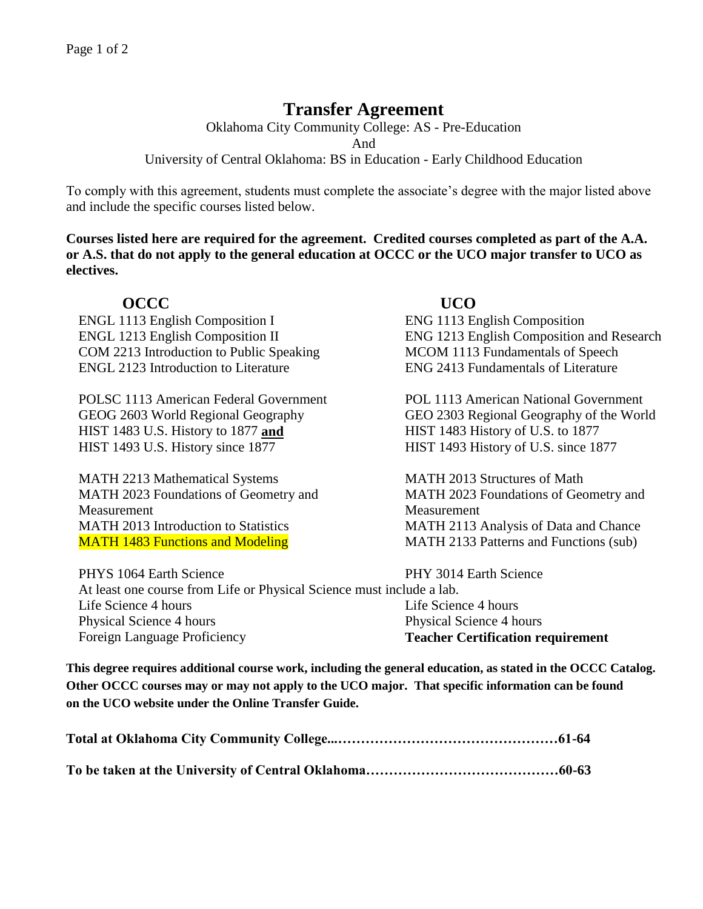# **Transfer Agreement**

Oklahoma City Community College: AS - Pre-Education And University of Central Oklahoma: BS in Education - Early Childhood Education

To comply with this agreement, students must complete the associate's degree with the major listed above and include the specific courses listed below.

**Courses listed here are required for the agreement. Credited courses completed as part of the A.A. or A.S. that do not apply to the general education at OCCC or the UCO major transfer to UCO as electives.**

# **OCCC UCO**

ENGL 1113 English Composition I ENG 1113 English Composition COM 2213 Introduction to Public Speaking MCOM 1113 Fundamentals of Speech ENGL 2123 Introduction to Literature ENG 2413 Fundamentals of Literature

POLSC 1113 American Federal Government POL 1113 American National Government HIST 1483 U.S. History to 1877 **and** HIST 1483 History of U.S. to 1877 HIST 1493 U.S. History since 1877 HIST 1493 History of U.S. since 1877

MATH 2213 Mathematical Systems MATH 2013 Structures of Math MATH 2023 Foundations of Geometry and Measurement MATH 2013 Introduction to Statistics MATH 2113 Analysis of Data and Chance MATH 1483 Functions and Modeling MATH 2133 Patterns and Functions (sub)

ENGL 1213 English Composition II ENG 1213 English Composition and Research

GEOG 2603 World Regional Geography GEO 2303 Regional Geography of the World

MATH 2023 Foundations of Geometry and Measurement

PHYS 1064 Earth Science PHY 3014 Earth Science At least one course from Life or Physical Science must include a lab. Life Science 4 hours Life Science 4 hours Life Science 4 hours Physical Science 4 hours Physical Science 4 hours Physical Science 4 hours Foreign Language Proficiency **Teacher Certification requirement**

**This degree requires additional course work, including the general education, as stated in the OCCC Catalog. Other OCCC courses may or may not apply to the UCO major. That specific information can be found on the UCO website under the Online Transfer Guide.**